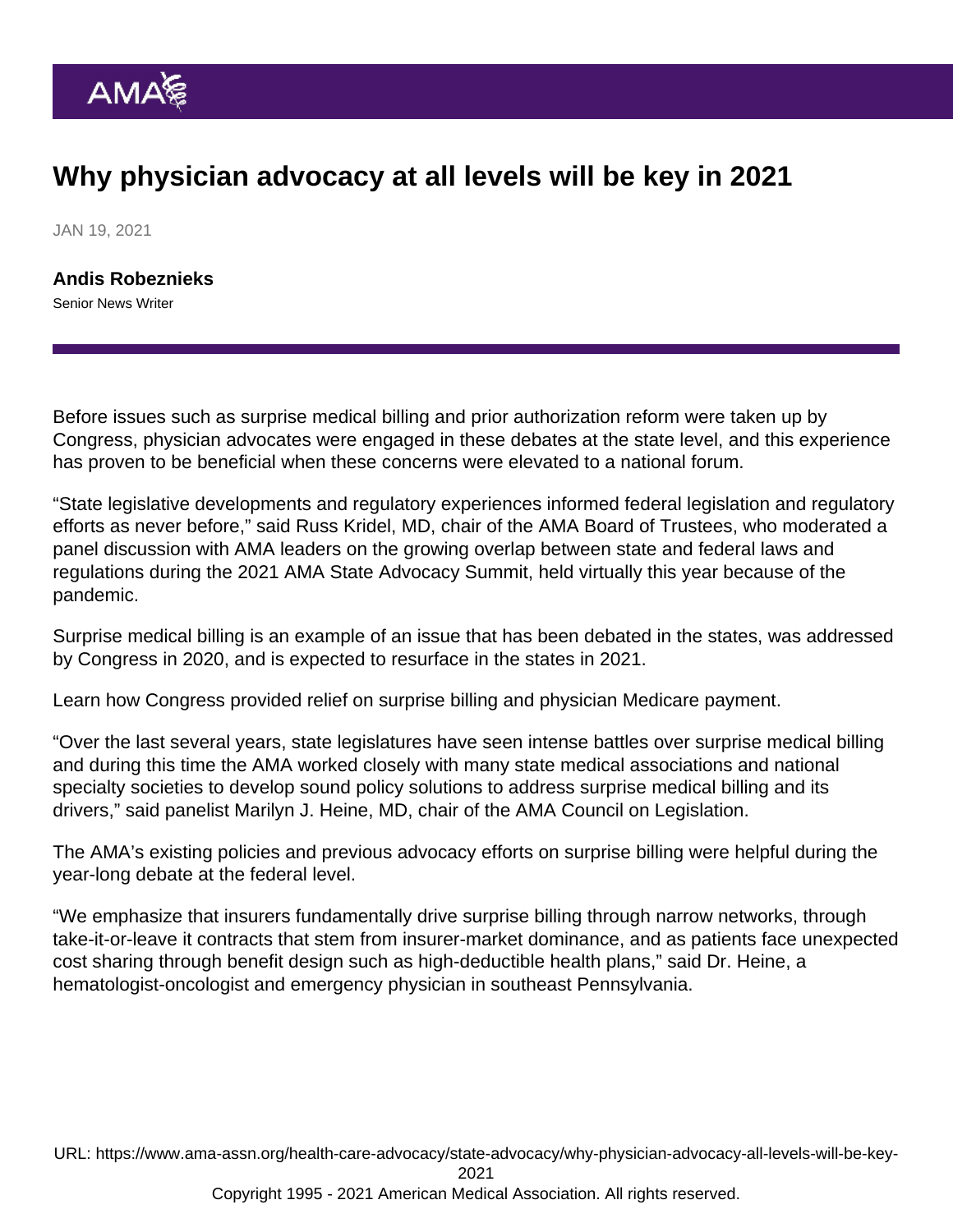## Why physician advocacy at all levels will be key in 2021

JAN 19, 2021

[Andis Robeznieks](https://www.ama-assn.org/news-leadership-viewpoints/authors-news-leadership-viewpoints/andis-robeznieks) Senior News Writer

Before issues such as [surprise medical billing](https://www.ama-assn.org/topics/out-network-surprise-billing) and [prior authorization](https://www.ama-assn.org/amaone/prior-authorization) reform were taken up by Congress, physician advocates were engaged in these debates at the state level, and this experience has proven to be beneficial when these concerns were elevated to a national forum.

"State legislative developments and regulatory experiences informed federal legislation and regulatory efforts as never before," said [Russ Kridel, MD,](https://www.ama-assn.org/about/board-trustees/russ-kridel-md) chair of the AMA Board of Trustees, who moderated a panel discussion with AMA leaders on the growing overlap between state and federal laws and regulations during the [2021 AMA State Advocacy Summit](https://www.ama-assn.org/health-care-advocacy/state-advocacy/2021-state-advocacy-summit-agenda), held virtually this year because of the pandemic.

Surprise medical billing is an example of an issue that has been debated in the states, was addressed by Congress in 2020, and is expected to resurface in the states in 2021.

Learn how [Congress provided relief on surprise billing and physician Medicare payment.](https://www.ama-assn.org/delivering-care/patient-support-advocacy/congress-provides-relief-medicare-payment-passes-surprise)

"Over the last several years, state legislatures have seen intense battles over surprise medical billing and during this time the AMA worked closely with many state medical associations and national specialty societies to develop sound policy solutions to address surprise medical billing and its drivers," said panelist [Marilyn J. Heine, MD](https://www.ama-assn.org/practice-management/physician-diversity/these-councils-shape-doctors-future-now-they-re-all-led), chair of the AMA Council on Legislation.

The AMA's existing policies and previous advocacy efforts on surprise billing were helpful during [the](https://www.ama-assn.org/delivering-care/patient-support-advocacy/doctors-take-message-surprise-billing-fix-capitol-hill) [year-long debate](https://www.ama-assn.org/delivering-care/patient-support-advocacy/doctors-take-message-surprise-billing-fix-capitol-hill) at the federal level.

"We emphasize that insurers fundamentally drive surprise billing through narrow networks, through take-it-or-leave it contracts that stem from insurer-market dominance, and as patients face unexpected cost sharing through benefit design such as high-deductible health plans," said Dr. Heine, a hematologist-oncologist and emergency physician in southeast Pennsylvania.

URL: [https://www.ama-assn.org/health-care-advocacy/state-advocacy/why-physician-advocacy-all-levels-will-be-key-](https://www.ama-assn.org/health-care-advocacy/state-advocacy/why-physician-advocacy-all-levels-will-be-key-2021)

[2021](https://www.ama-assn.org/health-care-advocacy/state-advocacy/why-physician-advocacy-all-levels-will-be-key-2021)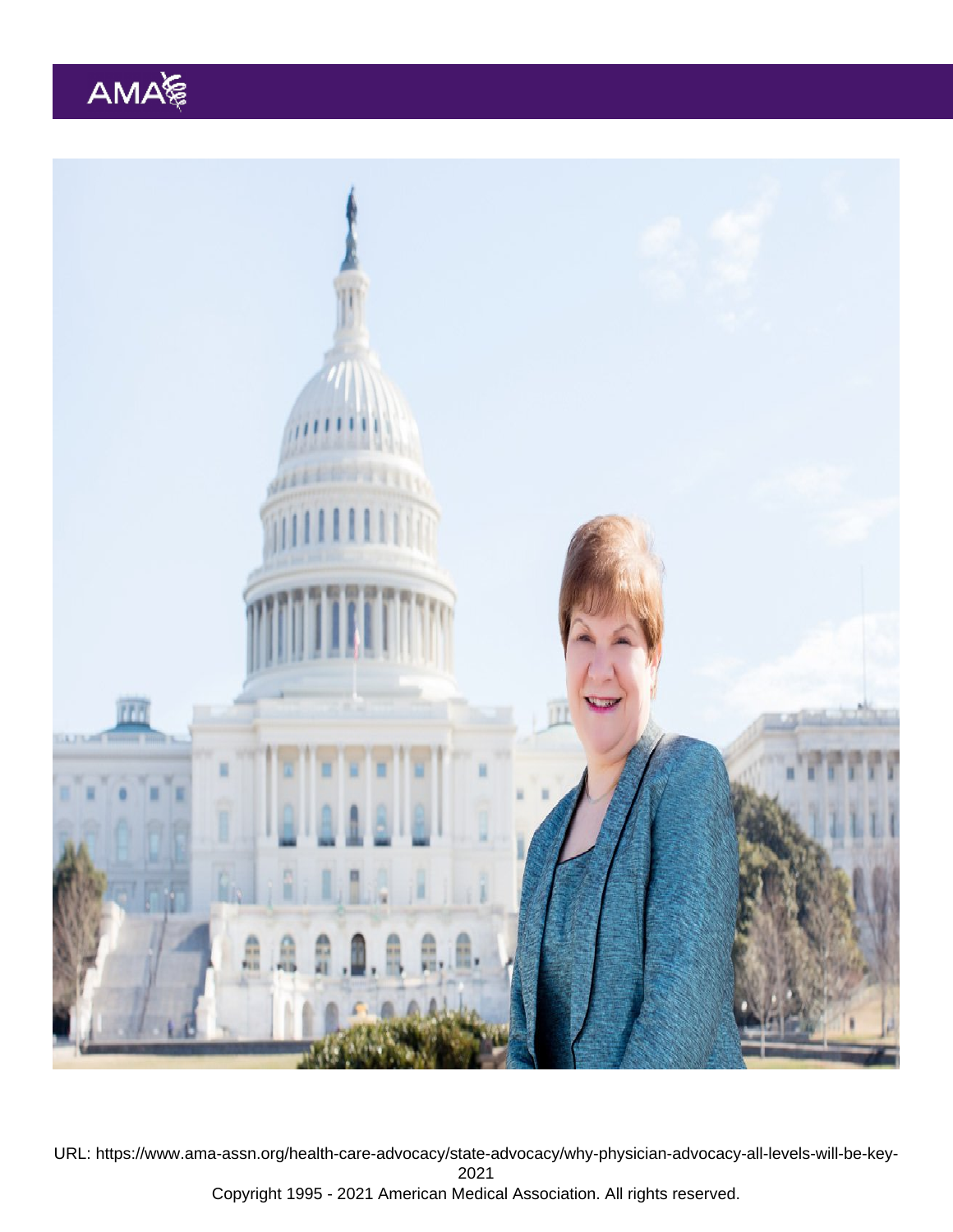URL: [https://www.ama-assn.org/health-care-advocacy/state-advocacy/why-physician-advocacy-all-levels-will-be-key-](https://www.ama-assn.org/health-care-advocacy/state-advocacy/why-physician-advocacy-all-levels-will-be-key-2021)[2021](https://www.ama-assn.org/health-care-advocacy/state-advocacy/why-physician-advocacy-all-levels-will-be-key-2021)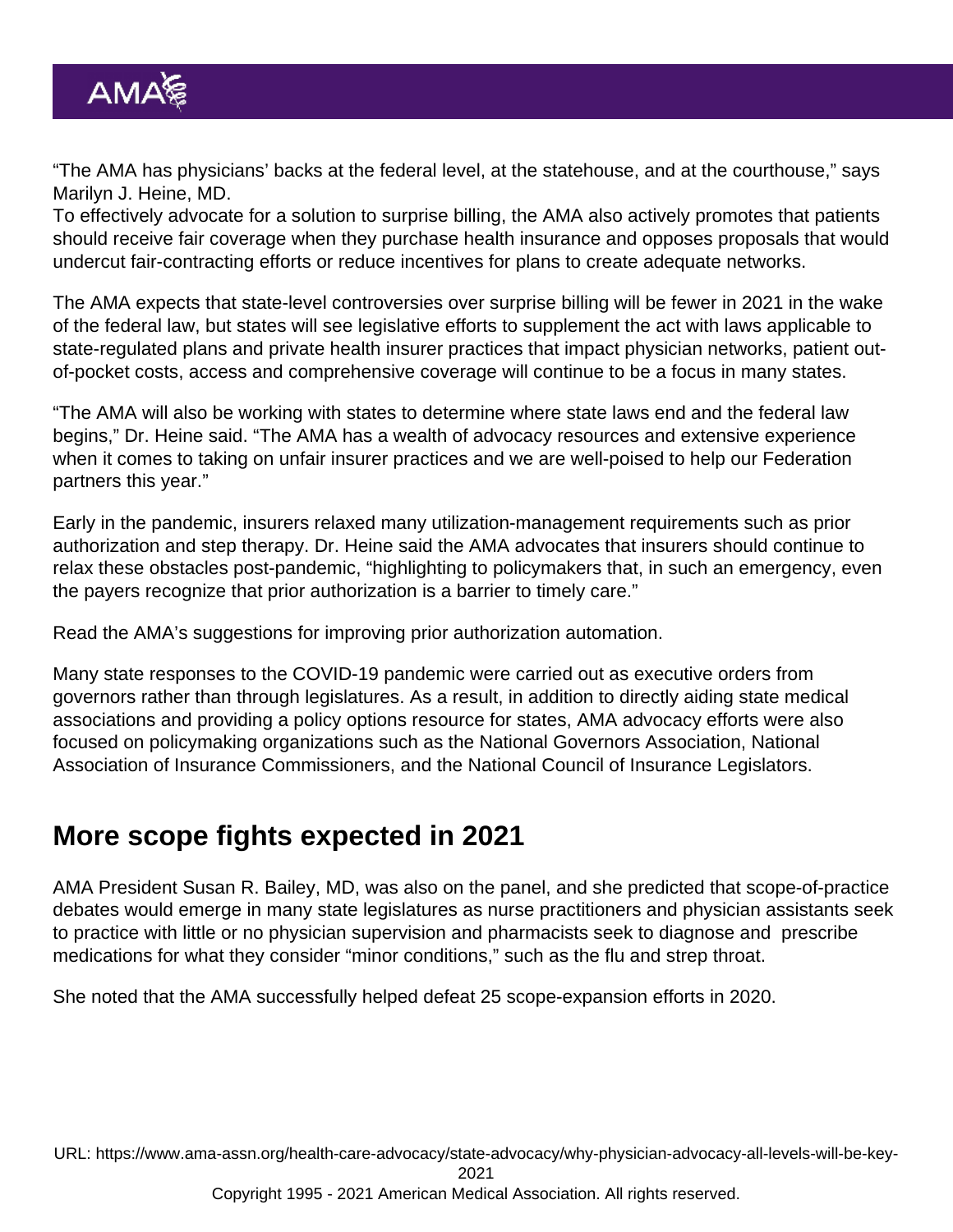"The AMA has physicians' backs at the federal level, at the statehouse, and at the courthouse," says Marilyn J. Heine, MD.

To effectively advocate for a solution to surprise billing, the AMA also actively promotes that patients should receive fair coverage when they purchase health insurance and opposes proposals that would undercut fair-contracting efforts or reduce incentives for plans to create adequate networks.

The AMA expects that state-level controversies over surprise billing will be fewer in 2021 in the wake of [the federal law](https://www.ama-assn.org/system/files/2021-01/ama-summary-of-select-provisions-of-the-consolidated-appropriations-act.pdf ), but states will see legislative efforts to supplement the act with laws applicable to state-regulated plans and private health insurer practices that impact physician networks, patient outof-pocket costs, access and comprehensive coverage will continue to be a focus in many states.

"The AMA will also be working with states to determine where state laws end and the federal law begins," Dr. Heine said. "The AMA has a wealth of advocacy resources and extensive experience when it comes to taking on unfair insurer practices and we are well-poised to help our Federation partners this year."

Early in the pandemic, insurers relaxed many utilization-management requirements such as prior authorization and step therapy. Dr. Heine said the AMA advocates that insurers should continue to relax these obstacles post-pandemic, "highlighting to policymakers that, in such an emergency, even the payers recognize that prior authorization is a barrier to timely care."

Read the [AMA's suggestions for improving prior authorization](https://www.ama-assn.org/practice-management/sustainability/physicians-hhs-here-s-how-improve-prior-authorization) automation.

Many state responses to the COVID-19 pandemic were carried out as executive orders from governors rather than through legislatures. As a result, in addition to directly aiding state medical associations and providing a policy options resource for states, AMA [advocacy efforts](https://www.ama-assn.org/delivering-care/public-health/policy-options-states-address-covid-19) were also focused on policymaking organizations such as the National Governors Association, National Association of Insurance Commissioners, and the National Council of Insurance Legislators.

## More scope fights expected in 2021

AMA President [Susan R. Bailey, MD](https://www.ama-assn.org/about/board-trustees/susan-r-bailey-md), was also on the panel, and she predicted that scope-of-practice debates would emerge in many state legislatures as nurse practitioners and physician assistants seek to practice with little or no physician supervision and pharmacists seek to diagnose and prescribe medications for what they consider "minor conditions," such as the flu and strep throat.

She noted that the AMA successfully helped defeat 25 scope-expansion efforts in 2020.

URL: [https://www.ama-assn.org/health-care-advocacy/state-advocacy/why-physician-advocacy-all-levels-will-be-key-](https://www.ama-assn.org/health-care-advocacy/state-advocacy/why-physician-advocacy-all-levels-will-be-key-2021)

[2021](https://www.ama-assn.org/health-care-advocacy/state-advocacy/why-physician-advocacy-all-levels-will-be-key-2021)